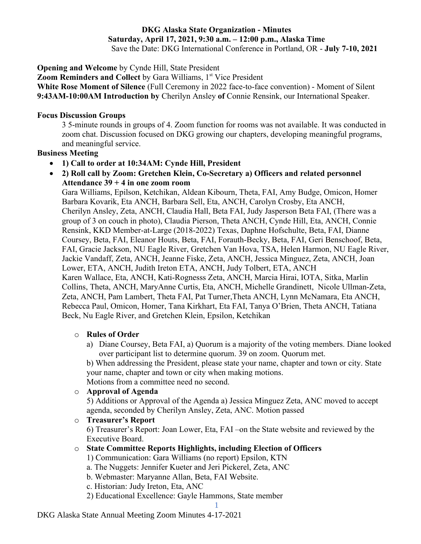# **DKG Alaska State Organization - Minutes Saturday, April 17, 2021, 9:30 a.m. – 12:00 p.m., Alaska Time**

Save the Date: DKG International Conference in Portland, OR - **July 7-10, 2021**

**Opening and Welcome** by Cynde Hill, State President

**Zoom Reminders and Collect** by Gara Williams, 1<sup>st</sup> Vice President

**White Rose Moment of Silence** (Full Ceremony in 2022 face-to-face convention) - Moment of Silent **9:43AM-10:00AM Introduction by** Cherilyn Ansley **of** Connie Rensink, our International Speaker.

## **Focus Discussion Groups**

3 5-minute rounds in groups of 4. Zoom function for rooms was not available. It was conducted in zoom chat. Discussion focused on DKG growing our chapters, developing meaningful programs, and meaningful service.

### **Business Meeting**

- **1) Call to order at 10:34AM: Cynde Hill, President**
- **2) Roll call by Zoom: Gretchen Klein, Co-Secretary a) Officers and related personnel Attendance 39 + 4 in one zoom room**

Gara Williams, Epilson, Ketchikan, Aldean Kibourn, Theta, FAI, Amy Budge, Omicon, Homer Barbara Kovarik, Eta ANCH, Barbara Sell, Eta, ANCH, Carolyn Crosby, Eta ANCH, Cherilyn Ansley, Zeta, ANCH, Claudia Hall, Beta FAI, Judy Jasperson Beta FAI, (There was a group of 3 on couch in photo), Claudia Pierson, Theta ANCH, Cynde Hill, Eta, ANCH, Connie Rensink, KKD Member-at-Large (2018-2022) Texas, Daphne Hofschulte, Beta, FAI, Dianne Coursey, Beta, FAI, Eleanor Houts, Beta, FAI, Forauth-Becky, Beta, FAI, Geri Benschoof, Beta, FAI, Gracie Jackson, NU Eagle River, Gretchen Van Hova, TSA, Helen Harmon, NU Eagle River, Jackie Vandaff, Zeta, ANCH, Jeanne Fiske, Zeta, ANCH, Jessica Minguez, Zeta, ANCH, Joan Lower, ETA, ANCH, Judith Ireton ETA, ANCH, Judy Tolbert, ETA, ANCH Karen Wallace, Eta, ANCH, Kati-Rognesss Zeta, ANCH, Marcia Hirai, IOTA, Sitka, Marlin Collins, Theta, ANCH, MaryAnne Curtis, Eta, ANCH, Michelle Grandinett, Nicole Ullman-Zeta, Zeta, ANCH, Pam Lambert, Theta FAI, Pat Turner,Theta ANCH, Lynn McNamara, Eta ANCH, Rebecca Paul, Omicon, Homer, Tana Kirkhart, Eta FAI, Tanya O'Brien, Theta ANCH, Tatiana Beck, Nu Eagle River, and Gretchen Klein, Epsilon, Ketchikan

### o **Rules of Order**

a) Diane Coursey, Beta FAI, a) Quorum is a majority of the voting members. Diane looked over participant list to determine quorum. 39 on zoom. Quorum met.

b) When addressing the President, please state your name, chapter and town or city. State your name, chapter and town or city when making motions.

Motions from a committee need no second.

### o **Approval of Agenda**

5) Additions or Approval of the Agenda a) Jessica Minguez Zeta, ANC moved to accept agenda, seconded by Cherilyn Ansley, Zeta, ANC. Motion passed

o **Treasurer's Report**

6) Treasurer's Report: Joan Lower, Eta, FAI –on the State website and reviewed by the Executive Board.

### o **State Committee Reports Highlights, including Election of Officers**

1) Communication: Gara Williams (no report) Epsilon, KTN

- a. The Nuggets: Jennifer Kueter and Jeri Pickerel, Zeta, ANC
- b. Webmaster: Maryanne Allan, Beta, FAI Website.

c. Historian: Judy Ireton, Eta, ANC

2) Educational Excellence: Gayle Hammons, State member